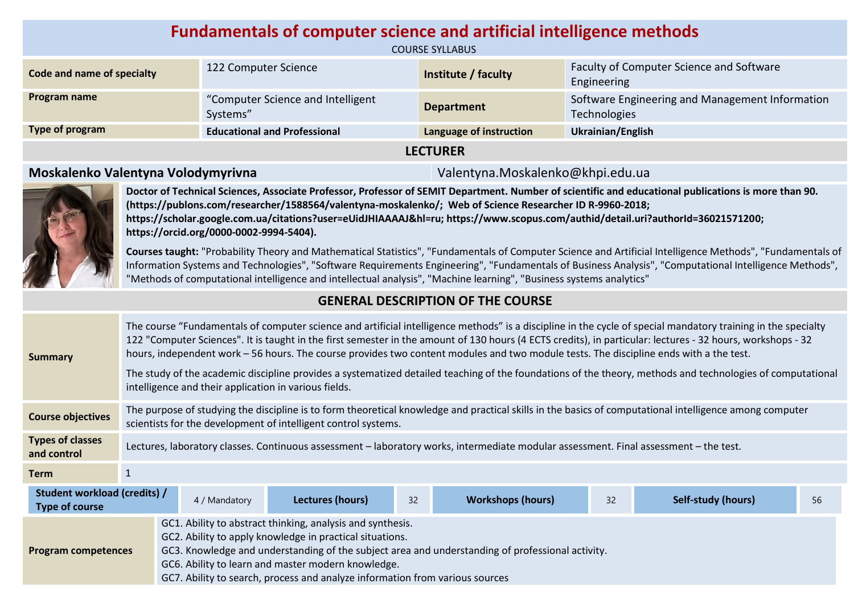| <b>Fundamentals of computer science and artificial intelligence methods</b><br><b>COURSE SYLLABUS</b> |                                               |                         |                                                                 |  |  |
|-------------------------------------------------------------------------------------------------------|-----------------------------------------------|-------------------------|-----------------------------------------------------------------|--|--|
| Code and name of specialty                                                                            | 122 Computer Science                          | Institute / faculty     | Faculty of Computer Science and Software<br>Engineering         |  |  |
| Program name                                                                                          | "Computer Science and Intelligent<br>Systems" | <b>Department</b>       | Software Engineering and Management Information<br>Technologies |  |  |
| Type of program                                                                                       | <b>Educational and Professional</b>           | Language of instruction | Ukrainian/English                                               |  |  |
| <b>LECTURER</b>                                                                                       |                                               |                         |                                                                 |  |  |

### **Moskalenko Valentyna Volodymyrivna** Valentyna.Moskalenko@khpi.edu.ua



**Doctor of Technical Sciences, Associate Professor, Professor of SEMIT Department. Number of scientific and educational publications is more than 90. (https://publons.com/researcher/1588564/valentyna-moskalenko/; Web of Science Researcher ID R-9960-2018; https://scholar.google.com.ua/citations?user=eUidJHIAAAAJ&hl=ru; https://www.scopus.com/authid/detail.uri?authorId=36021571200; https://orcid.org/0000-0002-9994-5404).** 

**Courses taught:** "Probability Theory and Mathematical Statistics", "Fundamentals of Computer Science and Artificial Intelligence Methods", "Fundamentals of Information Systems and Technologies", "Software Requirements Engineering", "Fundamentals of Business Analysis", "Computational Intelligence Methods", "Methods of computational intelligence and intellectual analysis", "Machine learning", "Business systems analytics"

# **GENERAL DESCRIPTION OF THE COURSE**

| <b>Summary</b>                                                                                                                                                                                                                                                                                                                                                                                 | The course "Fundamentals of computer science and artificial intelligence methods" is a discipline in the cycle of special mandatory training in the specialty<br>122 "Computer Sciences". It is taught in the first semester in the amount of 130 hours (4 ECTS credits), in particular: lectures - 32 hours, workshops - 32<br>hours, independent work - 56 hours. The course provides two content modules and two module tests. The discipline ends with a the test.<br>The study of the academic discipline provides a systematized detailed teaching of the foundations of the theory, methods and technologies of computational<br>intelligence and their application in various fields. |  |  |  |  |  |
|------------------------------------------------------------------------------------------------------------------------------------------------------------------------------------------------------------------------------------------------------------------------------------------------------------------------------------------------------------------------------------------------|-----------------------------------------------------------------------------------------------------------------------------------------------------------------------------------------------------------------------------------------------------------------------------------------------------------------------------------------------------------------------------------------------------------------------------------------------------------------------------------------------------------------------------------------------------------------------------------------------------------------------------------------------------------------------------------------------|--|--|--|--|--|
| <b>Course objectives</b>                                                                                                                                                                                                                                                                                                                                                                       | The purpose of studying the discipline is to form theoretical knowledge and practical skills in the basics of computational intelligence among computer<br>scientists for the development of intelligent control systems.                                                                                                                                                                                                                                                                                                                                                                                                                                                                     |  |  |  |  |  |
| <b>Types of classes</b><br>and control                                                                                                                                                                                                                                                                                                                                                         | Lectures, laboratory classes. Continuous assessment – laboratory works, intermediate modular assessment. Final assessment – the test.                                                                                                                                                                                                                                                                                                                                                                                                                                                                                                                                                         |  |  |  |  |  |
| <b>Term</b>                                                                                                                                                                                                                                                                                                                                                                                    | 1                                                                                                                                                                                                                                                                                                                                                                                                                                                                                                                                                                                                                                                                                             |  |  |  |  |  |
| Student workload (credits) /<br>Lectures (hours)<br><b>Workshops (hours)</b><br>32<br><b>Self-study (hours)</b><br>32<br>56<br>4 / Mandatory<br><b>Type of course</b>                                                                                                                                                                                                                          |                                                                                                                                                                                                                                                                                                                                                                                                                                                                                                                                                                                                                                                                                               |  |  |  |  |  |
| GC1. Ability to abstract thinking, analysis and synthesis.<br>GC2. Ability to apply knowledge in practical situations.<br>GC3. Knowledge and understanding of the subject area and understanding of professional activity.<br><b>Program competences</b><br>GC6. Ability to learn and master modern knowledge.<br>GC7. Ability to search, process and analyze information from various sources |                                                                                                                                                                                                                                                                                                                                                                                                                                                                                                                                                                                                                                                                                               |  |  |  |  |  |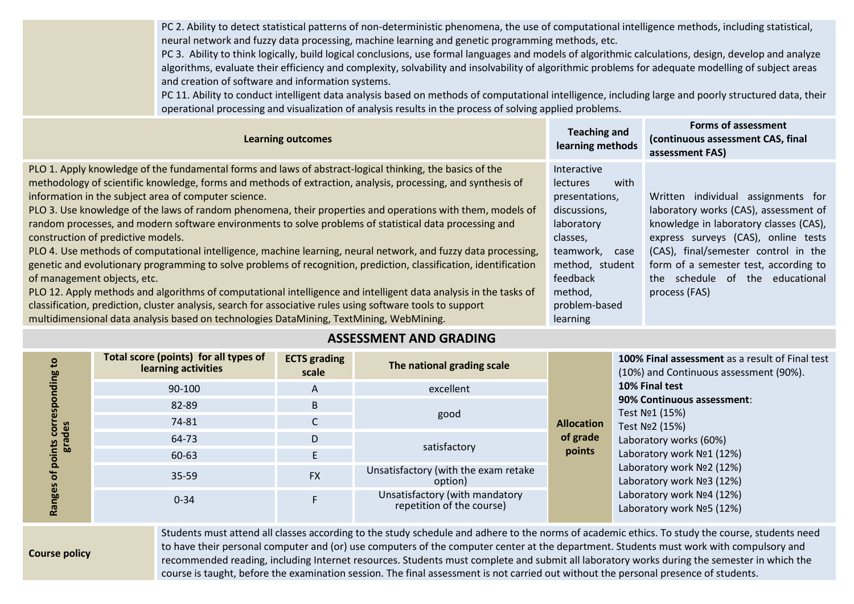PC 2. Ability to detect statistical patterns of non-deterministic phenomena, the use of computational intelligence methods, including statistical, neural network and fuzzy data processing, machine learning and genetic programming methods, etc.

PC 3. Ability to think logically, build logical conclusions, use formal languages and models of algorithmic calculations, design, develop and analyze algorithms, evaluate their efficiency and complexity, solvability and insolvability of algorithmic problems for adequate modelling of subject areas and creation of software and information systems.

PC 11. Ability to conduct intelligent data analysis based on methods of computational intelligence, including large and poorly structured data, their operational processing and visualization of analysis results in the process of solving applied problems.

| <b>Learning outcomes</b>                                                                                          | <b>Teaching and</b><br>learning methods | <b>Forms of assessment</b><br>(continuous assessment CAS, final<br>assessment FAS) |
|-------------------------------------------------------------------------------------------------------------------|-----------------------------------------|------------------------------------------------------------------------------------|
| PLO 1. Apply knowledge of the fundamental forms and laws of abstract-logical thinking, the basics of the          | Interactive                             |                                                                                    |
| methodology of scientific knowledge, forms and methods of extraction, analysis, processing, and synthesis of      | with<br><b>lectures</b>                 |                                                                                    |
| information in the subject area of computer science.                                                              | presentations,                          | Written individual assignments for                                                 |
| PLO 3. Use knowledge of the laws of random phenomena, their properties and operations with them, models of        | discussions,                            | laboratory works (CAS), assessment of                                              |
| random processes, and modern software environments to solve problems of statistical data processing and           | laboratory                              | knowledge in laboratory classes (CAS),                                             |
| construction of predictive models.                                                                                | classes,                                | express surveys (CAS), online tests                                                |
| PLO 4. Use methods of computational intelligence, machine learning, neural network, and fuzzy data processing,    | teamwork,<br>case                       | (CAS), final/semester control in the                                               |
| genetic and evolutionary programming to solve problems of recognition, prediction, classification, identification | method, student                         | form of a semester test, according to                                              |
| of management objects, etc.                                                                                       | feedback                                | the schedule of the educational                                                    |
| PLO 12. Apply methods and algorithms of computational intelligence and intelligent data analysis in the tasks of  | method,                                 | process (FAS)                                                                      |
| classification, prediction, cluster analysis, search for associative rules using software tools to support        | problem-based                           |                                                                                    |
| multidimensional data analysis based on technologies DataMining, TextMining, WebMining.                           | learning                                |                                                                                    |

### **ASSESSMENT AND GRADING**

| ம<br>corn<br>des<br>era<br>o<br>ъ<br>nges | Total score (points) for all types of<br>learning activities | <b>ECTS</b> grading<br>scale | The national grading scale                                  |                                                        | 100% Final assessment as a result of Final test<br>(10%) and Continuous assessment (90%).<br>10% Final test<br>90% Continuous assessment:<br>Test No1 (15%)<br>Test Nº2 (15%)<br>Laboratory works (60%)<br>Laboratory work Nº1 (12%)<br>Laboratory work Nº2 (12%)<br>Laboratory work Nº3 (12%) |
|-------------------------------------------|--------------------------------------------------------------|------------------------------|-------------------------------------------------------------|--------------------------------------------------------|------------------------------------------------------------------------------------------------------------------------------------------------------------------------------------------------------------------------------------------------------------------------------------------------|
|                                           | 90-100                                                       | $\mathsf{A}$                 | excellent                                                   | <b>Allocation</b><br>of grade                          |                                                                                                                                                                                                                                                                                                |
|                                           | 82-89                                                        | B                            |                                                             |                                                        |                                                                                                                                                                                                                                                                                                |
|                                           | 74-81                                                        |                              | good                                                        |                                                        |                                                                                                                                                                                                                                                                                                |
|                                           | 64-73                                                        | D                            |                                                             |                                                        |                                                                                                                                                                                                                                                                                                |
|                                           | 60-63                                                        |                              | satisfactory                                                | points                                                 |                                                                                                                                                                                                                                                                                                |
|                                           | 35-59                                                        | <b>FX</b>                    | Unsatisfactory (with the exam retake<br>option)             | Laboratory work Nº4 (12%)<br>Laboratory work Nº5 (12%) |                                                                                                                                                                                                                                                                                                |
|                                           | $0 - 34$                                                     |                              | Unsatisfactory (with mandatory<br>repetition of the course) |                                                        |                                                                                                                                                                                                                                                                                                |

**Course policy**

Students must attend all classes according to the study schedule and adhere to the norms of academic ethics. To study the course, students need to have their personal computer and (or) use computers of the computer center at the department. Students must work with compulsory and recommended reading, including Internet resources. Students must complete and submit all laboratory works during the semester in which the course is taught, before the examination session. The final assessment is not carried out without the personal presence of students.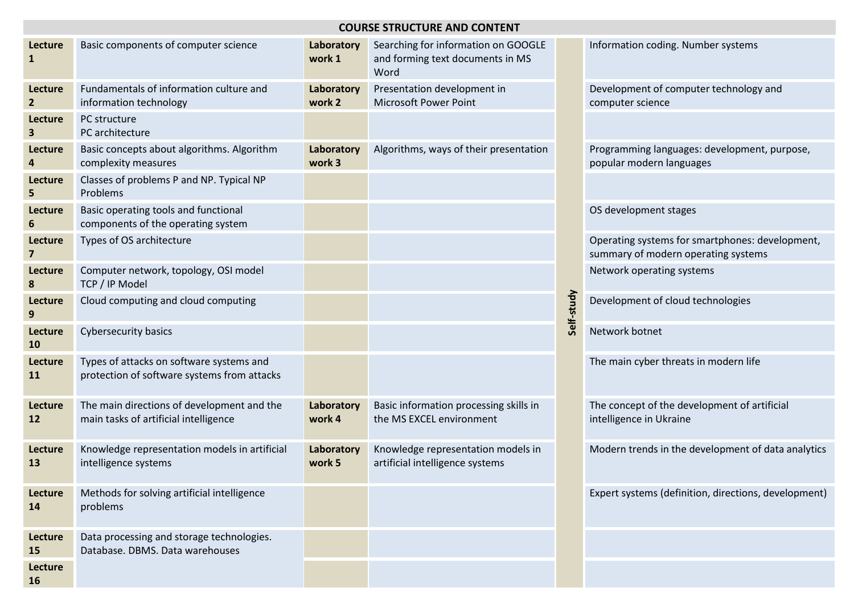| <b>COURSE STRUCTURE AND CONTENT</b> |                                                                                         |                      |                                                                                 |            |                                                                                        |  |
|-------------------------------------|-----------------------------------------------------------------------------------------|----------------------|---------------------------------------------------------------------------------|------------|----------------------------------------------------------------------------------------|--|
| Lecture<br>1                        | Basic components of computer science                                                    | Laboratory<br>work 1 | Searching for information on GOOGLE<br>and forming text documents in MS<br>Word |            | Information coding. Number systems                                                     |  |
| Lecture<br>$\overline{2}$           | Fundamentals of information culture and<br>information technology                       | Laboratory<br>work 2 | Presentation development in<br><b>Microsoft Power Point</b>                     |            | Development of computer technology and<br>computer science                             |  |
| Lecture<br>3                        | PC structure<br>PC architecture                                                         |                      |                                                                                 |            |                                                                                        |  |
| Lecture<br>4                        | Basic concepts about algorithms. Algorithm<br>complexity measures                       | Laboratory<br>work 3 | Algorithms, ways of their presentation                                          |            | Programming languages: development, purpose,<br>popular modern languages               |  |
| Lecture<br>5                        | Classes of problems P and NP. Typical NP<br>Problems                                    |                      |                                                                                 |            |                                                                                        |  |
| Lecture<br>6                        | Basic operating tools and functional<br>components of the operating system              |                      |                                                                                 |            | OS development stages                                                                  |  |
| Lecture<br>$\overline{\mathbf{z}}$  | Types of OS architecture                                                                |                      |                                                                                 |            | Operating systems for smartphones: development,<br>summary of modern operating systems |  |
| Lecture<br>8                        | Computer network, topology, OSI model<br>TCP / IP Model                                 |                      |                                                                                 |            | Network operating systems                                                              |  |
| Lecture<br>9                        | Cloud computing and cloud computing                                                     |                      |                                                                                 | Self-study | Development of cloud technologies                                                      |  |
| Lecture<br>10                       | <b>Cybersecurity basics</b>                                                             |                      |                                                                                 |            | Network botnet                                                                         |  |
| Lecture<br><b>11</b>                | Types of attacks on software systems and<br>protection of software systems from attacks |                      |                                                                                 |            | The main cyber threats in modern life                                                  |  |
| Lecture<br><b>12</b>                | The main directions of development and the<br>main tasks of artificial intelligence     | Laboratory<br>work 4 | Basic information processing skills in<br>the MS EXCEL environment              |            | The concept of the development of artificial<br>intelligence in Ukraine                |  |
| Lecture<br>13                       | Knowledge representation models in artificial<br>intelligence systems                   | Laboratory<br>work 5 | Knowledge representation models in<br>artificial intelligence systems           |            | Modern trends in the development of data analytics                                     |  |
| Lecture<br>14                       | Methods for solving artificial intelligence<br>problems                                 |                      |                                                                                 |            | Expert systems (definition, directions, development)                                   |  |
| Lecture<br>15                       | Data processing and storage technologies.<br>Database. DBMS. Data warehouses            |                      |                                                                                 |            |                                                                                        |  |
| Lecture<br>16                       |                                                                                         |                      |                                                                                 |            |                                                                                        |  |